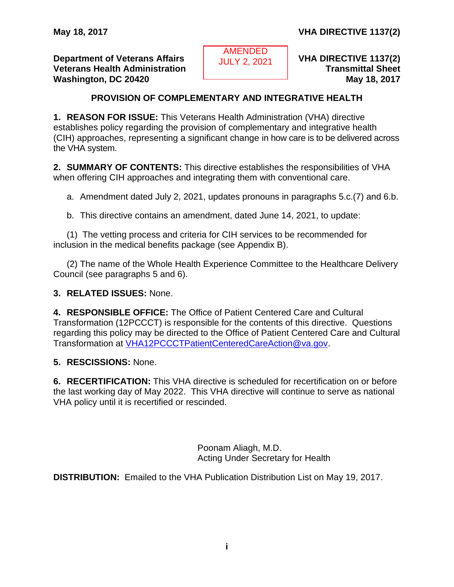**Department of Veterans Affairs VECETIVE 1137(2) VHA DIRECTIVE 1137(2) Veterans Health Administration Transmittal Sheet Washington, DC 20420 May 18, 2017** 

AMENDED AMENDED JULY 2, 2021 JULY 2, 2021

# **PROVISION OF COMPLEMENTARY AND INTEGRATIVE HEALTH**

<span id="page-0-0"></span>**1. REASON FOR ISSUE:** This Veterans Health Administration (VHA) directive establishes policy regarding the provision of complementary and integrative health (CIH) approaches, representing a significant change in how care is to be delivered across the VHA system.

**2. SUMMARY OF CONTENTS:** This directive establishes the responsibilities of VHA when offering CIH approaches and integrating them with conventional care.

a. Amendment dated July 2, 2021, updates pronouns in paragraphs 5.c.(7) and 6.b.

b. This directive contains an amendment, dated June 14, 2021, to update:

(1) The vetting process and criteria for CIH services to be recommended for inclusion in the medical benefits package (see Appendix B).

(2) The name of the Whole Health Experience Committee to the Healthcare Delivery Council (see paragraphs 5 and 6).

**3. RELATED ISSUES:** None.

**4. RESPONSIBLE OFFICE:** The Office of Patient Centered Care and Cultural Transformation (12PCCCT) is responsible for the contents of this directive. Questions regarding this policy may be directed to the Office of Patient Centered Care and Cultural Transformation at [VHA12PCCCTPatientCenteredCareAction@va.gov.](mailto:VHA12PCCCTPatientCenteredCareAction@va.gov)

**5. RESCISSIONS:** None.

**6. RECERTIFICATION:** This VHA directive is scheduled for recertification on or before the last working day of May 2022. This VHA directive will continue to serve as national VHA policy until it is recertified or rescinded.

> Poonam Aliagh, M.D. Acting Under Secretary for Health

**DISTRIBUTION:** Emailed to the VHA Publication Distribution List on May 19, 2017.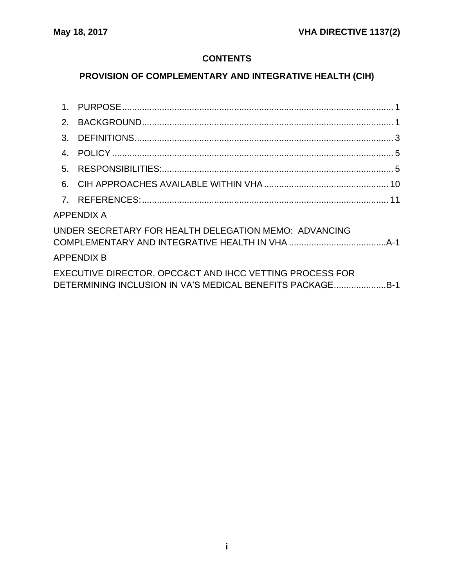# **CONTENTS**

# **PROVISION OF COMPLEMENTARY AND INTEGRATIVE HEALTH (CIH)**

| 2.                                                                                                                    |                   |  |
|-----------------------------------------------------------------------------------------------------------------------|-------------------|--|
| $\mathbf{3}$ .                                                                                                        |                   |  |
|                                                                                                                       |                   |  |
| 5.                                                                                                                    |                   |  |
|                                                                                                                       |                   |  |
|                                                                                                                       |                   |  |
|                                                                                                                       | <b>APPENDIX A</b> |  |
| UNDER SECRETARY FOR HEALTH DELEGATION MEMO: ADVANCING                                                                 |                   |  |
|                                                                                                                       | <b>APPENDIX B</b> |  |
| EXECUTIVE DIRECTOR, OPCC&CT AND IHCC VETTING PROCESS FOR<br>DETERMINING INCLUSION IN VA'S MEDICAL BENEFITS PACKAGEB-1 |                   |  |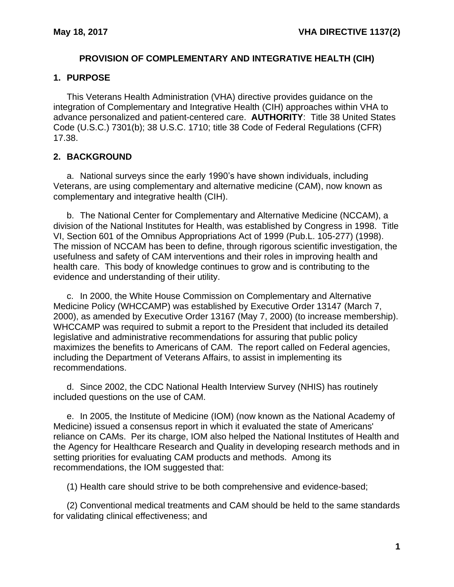### **PROVISION OF COMPLEMENTARY AND INTEGRATIVE HEALTH (CIH)**

### <span id="page-2-0"></span>**1. PURPOSE**

This Veterans Health Administration (VHA) directive provides guidance on the integration of Complementary and Integrative Health (CIH) approaches within VHA to advance personalized and patient-centered care. **AUTHORITY**: Title 38 United States Code (U.S.C.) 7301(b); 38 U.S.C. 1710; title 38 Code of Federal Regulations (CFR) 17.38.

# <span id="page-2-1"></span>**2. BACKGROUND**

a. National surveys since the early 1990's have shown individuals, including Veterans, are using complementary and alternative medicine (CAM), now known as complementary and integrative health (CIH).

b. The National Center for Complementary and Alternative Medicine (NCCAM), a division of the National Institutes for Health, was established by Congress in 1998. Title VI, Section 601 of the Omnibus Appropriations Act of 1999 (Pub.L. 105-277) (1998). The mission of NCCAM has been to define, through rigorous scientific investigation, the usefulness and safety of CAM interventions and their roles in improving health and health care. This body of knowledge continues to grow and is contributing to the evidence and understanding of their utility.

c. In 2000, the White House Commission on Complementary and Alternative Medicine Policy (WHCCAMP) was established by Executive Order 13147 (March 7, 2000), as amended by Executive Order 13167 (May 7, 2000) (to increase membership). WHCCAMP was required to submit a report to the President that included its detailed legislative and administrative recommendations for assuring that public policy maximizes the benefits to Americans of CAM. The report called on Federal agencies, including the Department of Veterans Affairs, to assist in implementing its recommendations.

d. Since 2002, the CDC National Health Interview Survey (NHIS) has routinely included questions on the use of CAM.

e. In 2005, the Institute of Medicine (IOM) (now known as the National Academy of Medicine) issued a consensus report in which it evaluated the state of Americans' reliance on CAMs. Per its charge, IOM also helped the National Institutes of Health and the Agency for Healthcare Research and Quality in developing research methods and in setting priorities for evaluating CAM products and methods. Among its recommendations, the IOM suggested that:

(1) Health care should strive to be both comprehensive and evidence-based;

(2) Conventional medical treatments and CAM should be held to the same standards for validating clinical effectiveness; and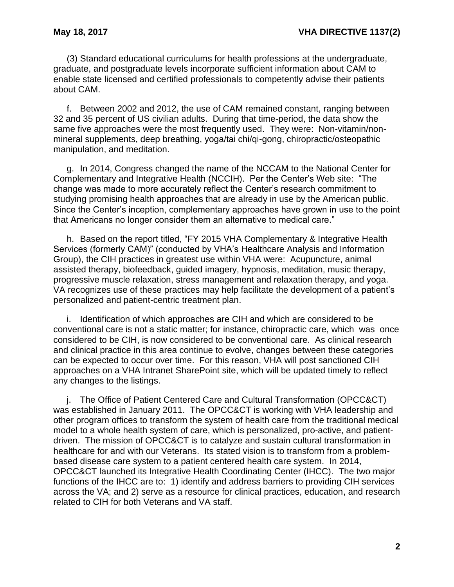(3) Standard educational curriculums for health professions at the undergraduate, graduate, and postgraduate levels incorporate sufficient information about CAM to enable state licensed and certified professionals to competently advise their patients about CAM.

f. Between 2002 and 2012, the use of CAM remained constant, ranging between 32 and 35 percent of US civilian adults. During that time-period, the data show the same five approaches were the most frequently used. They were: Non-vitamin/nonmineral supplements, deep breathing, yoga/tai chi/qi-gong, chiropractic/osteopathic manipulation, and meditation.

g. In 2014, Congress changed the name of the NCCAM to the National Center for Complementary and Integrative Health (NCCIH). Per the Center's Web site: "The change was made to more accurately reflect the Center's research commitment to studying promising health approaches that are already in use by the American public. Since the Center's inception, complementary approaches have grown in use to the point that Americans no longer consider them an alternative to medical care."

h. Based on the report titled, "FY 2015 VHA Complementary & Integrative Health Services (formerly CAM)" (conducted by VHA's Healthcare Analysis and Information Group), the CIH practices in greatest use within VHA were: Acupuncture, animal assisted therapy, biofeedback, guided imagery, hypnosis, meditation, music therapy, progressive muscle relaxation, stress management and relaxation therapy, and yoga. VA recognizes use of these practices may help facilitate the development of a patient's personalized and patient-centric treatment plan.

i. Identification of which approaches are CIH and which are considered to be conventional care is not a static matter; for instance, chiropractic care, which was once considered to be CIH, is now considered to be conventional care. As clinical research and clinical practice in this area continue to evolve, changes between these categories can be expected to occur over time. For this reason, VHA will post sanctioned CIH approaches on a VHA Intranet SharePoint site, which will be updated timely to reflect any changes to the listings.

j. The Office of Patient Centered Care and Cultural Transformation (OPCC&CT) was established in January 2011. The OPCC&CT is working with VHA leadership and other program offices to transform the system of health care from the traditional medical model to a whole health system of care, which is personalized, pro-active, and patientdriven. The mission of OPCC&CT is to catalyze and sustain cultural transformation in healthcare for and with our Veterans. Its stated vision is to transform from a problembased disease care system to a patient centered health care system. In 2014, OPCC&CT launched its Integrative Health Coordinating Center (IHCC). The two major functions of the IHCC are to: 1) identify and address barriers to providing CIH services across the VA; and 2) serve as a resource for clinical practices, education, and research related to CIH for both Veterans and VA staff.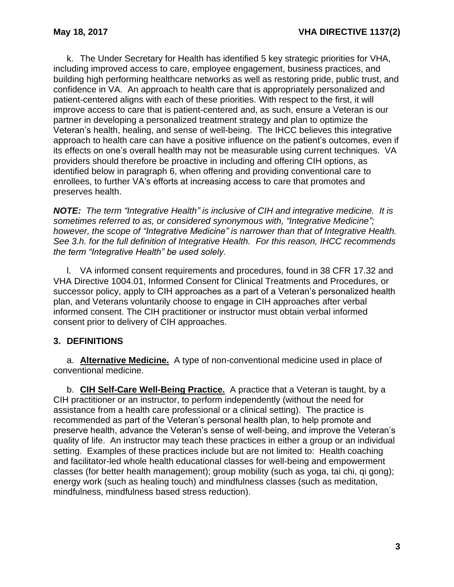k. The Under Secretary for Health has identified 5 key strategic priorities for VHA, including improved access to care, employee engagement, business practices, and building high performing healthcare networks as well as restoring pride, public trust, and confidence in VA. An approach to health care that is appropriately personalized and patient-centered aligns with each of these priorities. With respect to the first, it will improve access to care that is patient-centered and, as such, ensure a Veteran is our partner in developing a personalized treatment strategy and plan to optimize the Veteran's health, healing, and sense of well-being. The IHCC believes this integrative approach to health care can have a positive influence on the patient's outcomes, even if its effects on one's overall health may not be measurable using current techniques. VA providers should therefore be proactive in including and offering CIH options, as identified below in paragraph 6, when offering and providing conventional care to enrollees, to further VA's efforts at increasing access to care that promotes and preserves health.

*NOTE: The term "Integrative Health" is inclusive of CIH and integrative medicine. It is sometimes referred to as, or considered synonymous with, "Integrative Medicine"; however, the scope of "Integrative Medicine" is narrower than that of Integrative Health. See 3.h. for the full definition of Integrative Health. For this reason, IHCC recommends the term "Integrative Health" be used solely.*

l. VA informed consent requirements and procedures, found in 38 CFR 17.32 and VHA Directive 1004.01, Informed Consent for Clinical Treatments and Procedures, or successor policy, apply to CIH approaches as a part of a Veteran's personalized health plan, and Veterans voluntarily choose to engage in CIH approaches after verbal informed consent. The CIH practitioner or instructor must obtain verbal informed consent prior to delivery of CIH approaches.

# <span id="page-4-0"></span>**3. DEFINITIONS**

a. **Alternative Medicine.** A type of non-conventional medicine used in place of conventional medicine.

b. **CIH Self-Care Well-Being Practice.** A practice that a Veteran is taught, by a CIH practitioner or an instructor, to perform independently (without the need for assistance from a health care professional or a clinical setting). The practice is recommended as part of the Veteran's personal health plan, to help promote and preserve health, advance the Veteran's sense of well-being, and improve the Veteran's quality of life. An instructor may teach these practices in either a group or an individual setting. Examples of these practices include but are not limited to: Health coaching and facilitator-led whole health educational classes for well-being and empowerment classes (for better health management); group mobility (such as yoga, tai chi, qi gong); energy work (such as healing touch) and mindfulness classes (such as meditation, mindfulness, mindfulness based stress reduction).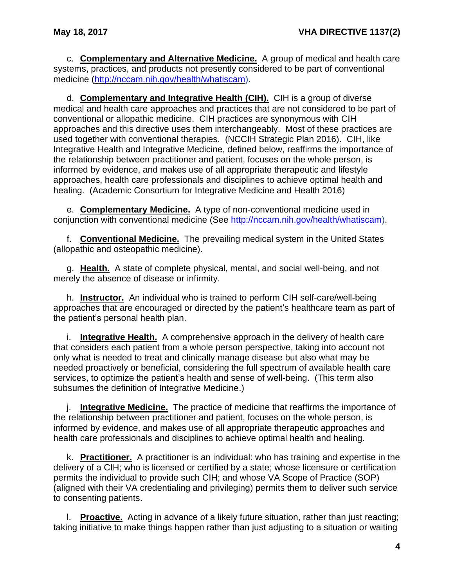c. **Complementary and Alternative Medicine.** A group of medical and health care systems, practices, and products not presently considered to be part of conventional medicine [\(http://nccam.nih.gov/health/whatiscam\)](http://nccam.nih.gov/health/whatiscam).

d. **Complementary and Integrative Health (CIH).** CIH is a group of diverse medical and health care approaches and practices that are not considered to be part of conventional or allopathic medicine. CIH practices are synonymous with CIH approaches and this directive uses them interchangeably. Most of these practices are used together with conventional therapies. (NCCIH Strategic Plan 2016). CIH, like Integrative Health and Integrative Medicine, defined below, reaffirms the importance of the relationship between practitioner and patient, focuses on the whole person, is informed by evidence, and makes use of all appropriate therapeutic and lifestyle approaches, health care professionals and disciplines to achieve optimal health and healing. (Academic Consortium for Integrative Medicine and Health 2016)

e. **Complementary Medicine.** A type of non-conventional medicine used in conjunction with conventional medicine [\(See http://nccam.nih.gov/health/whatiscam\)](http://nccam.nih.gov/health/whatiscam).

f. **Conventional Medicine.** The prevailing medical system in the United States (allopathic and osteopathic medicine).

g. **Health.** A state of complete physical, mental, and social well-being, and not merely the absence of disease or infirmity.

h. **Instructor.** An individual who is trained to perform CIH self-care/well-being approaches that are encouraged or directed by the patient's healthcare team as part of the patient's personal health plan.

i. **Integrative Health.** A comprehensive approach in the delivery of health care that considers each patient from a whole person perspective, taking into account not only what is needed to treat and clinically manage disease but also what may be needed proactively or beneficial, considering the full spectrum of available health care services, to optimize the patient's health and sense of well-being. (This term also subsumes the definition of Integrative Medicine.)

j. **Integrative Medicine.** The practice of medicine that reaffirms the importance of the relationship between practitioner and patient, focuses on the whole person, is informed by evidence, and makes use of all appropriate therapeutic approaches and health care professionals and disciplines to achieve optimal health and healing.

k. **Practitioner.** A practitioner is an individual: who has training and expertise in the delivery of a CIH; who is licensed or certified by a state; whose licensure or certification permits the individual to provide such CIH; and whose VA Scope of Practice (SOP) (aligned with their VA credentialing and privileging) permits them to deliver such service to consenting patients.

l. **Proactive.** Acting in advance of a likely future situation, rather than just reacting; taking initiative to make things happen rather than just adjusting to a situation or waiting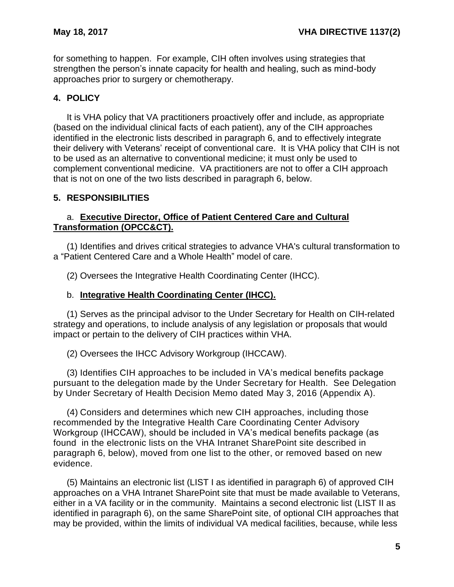for something to happen. For example, CIH often involves using strategies that strengthen the person's innate capacity for health and healing, such as mind-body approaches prior to surgery or chemotherapy.

### <span id="page-6-0"></span>**4. POLICY**

It is VHA policy that VA practitioners proactively offer and include, as appropriate (based on the individual clinical facts of each patient), any of the CIH approaches identified in the electronic lists described in paragraph 6, and to effectively integrate their delivery with Veterans' receipt of conventional care. It is VHA policy that CIH is not to be used as an alternative to conventional medicine; it must only be used to complement conventional medicine. VA practitioners are not to offer a CIH approach that is not on one of the two lists described in paragraph 6, below.

### <span id="page-6-1"></span>**5. RESPONSIBILITIES**

### a. **Executive Director, Office of Patient Centered Care and Cultural Transformation (OPCC&CT).**

(1) Identifies and drives critical strategies to advance VHA's cultural transformation to a "Patient Centered Care and a Whole Health" model of care.

(2) Oversees the Integrative Health Coordinating Center (IHCC).

#### b. **Integrative Health Coordinating Center (IHCC).**

(1) Serves as the principal advisor to the Under Secretary for Health on CIH-related strategy and operations, to include analysis of any legislation or proposals that would impact or pertain to the delivery of CIH practices within VHA.

(2) Oversees the IHCC Advisory Workgroup (IHCCAW).

(3) Identifies CIH approaches to be included in VA's medical benefits package pursuant to the delegation made by the Under Secretary for Health. See Delegation by Under Secretary of Health Decision Memo dated May 3, 2016 (Appendix A).

(4) Considers and determines which new CIH approaches, including those recommended by the Integrative Health Care Coordinating Center Advisory Workgroup (IHCCAW), should be included in VA's medical benefits package (as found in the electronic lists on the VHA Intranet SharePoint site described in paragraph 6, below), moved from one list to the other, or removed based on new evidence.

(5) Maintains an electronic list (LIST I as identified in paragraph 6) of approved CIH approaches on a VHA Intranet SharePoint site that must be made available to Veterans, either in a VA facility or in the community. Maintains a second electronic list (LIST II as identified in paragraph 6), on the same SharePoint site, of optional CIH approaches that may be provided, within the limits of individual VA medical facilities, because, while less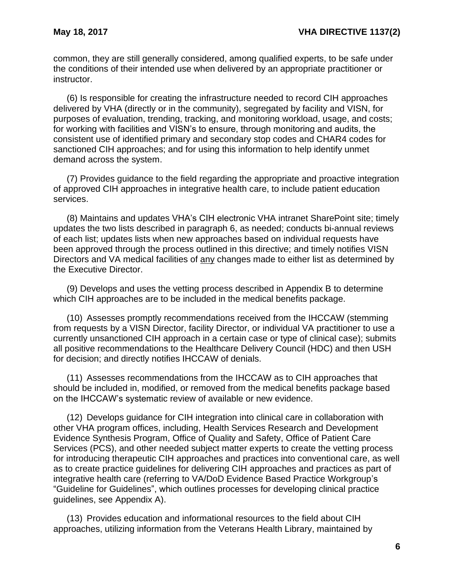common, they are still generally considered, among qualified experts, to be safe under the conditions of their intended use when delivered by an appropriate practitioner or instructor.

(6) Is responsible for creating the infrastructure needed to record CIH approaches delivered by VHA (directly or in the community), segregated by facility and VISN, for purposes of evaluation, trending, tracking, and monitoring workload, usage, and costs; for working with facilities and VISN's to ensure, through monitoring and audits, the consistent use of identified primary and secondary stop codes and CHAR4 codes for sanctioned CIH approaches; and for using this information to help identify unmet demand across the system.

(7) Provides guidance to the field regarding the appropriate and proactive integration of approved CIH approaches in integrative health care, to include patient education services.

(8) Maintains and updates VHA's CIH electronic VHA intranet SharePoint site; timely updates the two lists described in paragraph 6, as needed; conducts bi-annual reviews of each list; updates lists when new approaches based on individual requests have been approved through the process outlined in this directive; and timely notifies VISN Directors and VA medical facilities of any changes made to either list as determined by the Executive Director.

(9) Develops and uses the vetting process described in Appendix B to determine which CIH approaches are to be included in the medical benefits package.

(10) Assesses promptly recommendations received from the IHCCAW (stemming from requests by a VISN Director, facility Director, or individual VA practitioner to use a currently unsanctioned CIH approach in a certain case or type of clinical case); submits all positive recommendations to the Healthcare Delivery Council (HDC) and then USH for decision; and directly notifies IHCCAW of denials.

(11) Assesses recommendations from the IHCCAW as to CIH approaches that should be included in, modified, or removed from the medical benefits package based on the IHCCAW's systematic review of available or new evidence.

(12) Develops guidance for CIH integration into clinical care in collaboration with other VHA program offices, including, Health Services Research and Development Evidence Synthesis Program, Office of Quality and Safety, Office of Patient Care Services (PCS), and other needed subject matter experts to create the vetting process for introducing therapeutic CIH approaches and practices into conventional care, as well as to create practice guidelines for delivering CIH approaches and practices as part of integrative health care (referring to VA/DoD Evidence Based Practice Workgroup's "Guideline for Guidelines", which outlines processes for developing clinical practice guidelines, see Appendix A).

(13) Provides education and informational resources to the field about CIH approaches, utilizing information from the Veterans Health Library, maintained by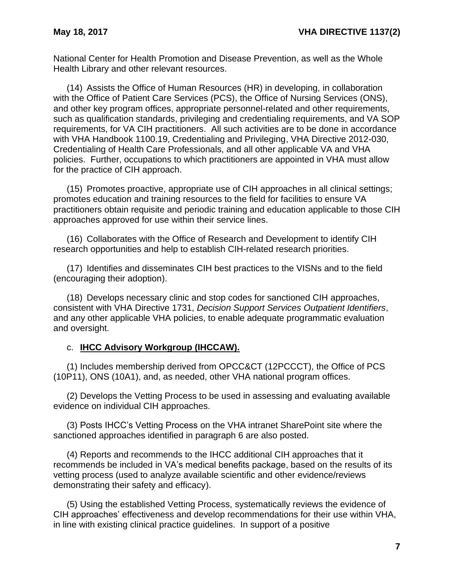National Center for Health Promotion and Disease Prevention, as well as the Whole Health Library and other relevant resources.

(14) Assists the Office of Human Resources (HR) in developing, in collaboration with the Office of Patient Care Services (PCS), the Office of Nursing Services (ONS), and other key program offices, appropriate personnel-related and other requirements, such as qualification standards, privileging and credentialing requirements, and VA SOP requirements, for VA CIH practitioners. All such activities are to be done in accordance with VHA Handbook 1100.19, Credentialing and Privileging, VHA Directive 2012-030, Credentialing of Health Care Professionals, and all other applicable VA and VHA policies. Further, occupations to which practitioners are appointed in VHA must allow for the practice of CIH approach.

(15) Promotes proactive, appropriate use of CIH approaches in all clinical settings; promotes education and training resources to the field for facilities to ensure VA practitioners obtain requisite and periodic training and education applicable to those CIH approaches approved for use within their service lines.

(16) Collaborates with the Office of Research and Development to identify CIH research opportunities and help to establish CIH-related research priorities.

(17) Identifies and disseminates CIH best practices to the VISNs and to the field (encouraging their adoption).

(18) Develops necessary clinic and stop codes for sanctioned CIH approaches, consistent with VHA Directive 1731, *Decision Support Services Outpatient Identifiers*, and any other applicable VHA policies, to enable adequate programmatic evaluation and oversight.

#### c. **IHCC Advisory Workgroup (IHCCAW).**

(1) Includes membership derived from OPCC&CT (12PCCCT), the Office of PCS (10P11), ONS (10A1), and, as needed, other VHA national program offices.

(2) Develops the Vetting Process to be used in assessing and evaluating available evidence on individual CIH approaches.

(3) Posts IHCC's Vetting Process on the VHA intranet SharePoint site where the sanctioned approaches identified in paragraph 6 are also posted.

(4) Reports and recommends to the IHCC additional CIH approaches that it recommends be included in VA's medical benefits package, based on the results of its vetting process (used to analyze available scientific and other evidence/reviews demonstrating their safety and efficacy).

(5) Using the established Vetting Process, systematically reviews the evidence of CIH approaches' effectiveness and develop recommendations for their use within VHA, in line with existing clinical practice guidelines. In support of a positive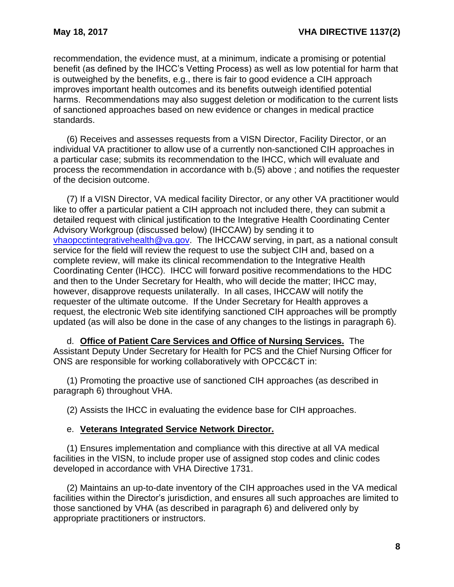recommendation, the evidence must, at a minimum, indicate a promising or potential benefit (as defined by the IHCC's Vetting Process) as well as low potential for harm that is outweighed by the benefits, e.g., there is fair to good evidence a CIH approach improves important health outcomes and its benefits outweigh identified potential harms. Recommendations may also suggest deletion or modification to the current lists of sanctioned approaches based on new evidence or changes in medical practice standards.

(6) Receives and assesses requests from a VISN Director, Facility Director, or an individual VA practitioner to allow use of a currently non-sanctioned CIH approaches in a particular case; submits its recommendation to the IHCC, which will evaluate and process the recommendation in accordance with b.(5) above ; and notifies the requester of the decision outcome.

(7) If a VISN Director, VA medical facility Director, or any other VA practitioner would like to offer a particular patient a CIH approach not included there, they can submit a detailed request with clinical justification to the Integrative Health Coordinating Center Advisory Workgroup (discussed below) (IHCCAW) by sending it to [vhaopcctintegrativehealth@va.gov.](mailto:vhaopcctintegrativehealth@va.gov) The IHCCAW serving, in part, as a national consult service for the field will review the request to use the subject CIH and, based on a complete review, will make its clinical recommendation to the Integrative Health Coordinating Center (IHCC). IHCC will forward positive recommendations to the HDC and then to the Under Secretary for Health, who will decide the matter; IHCC may, however, disapprove requests unilaterally. In all cases, IHCCAW will notify the requester of the ultimate outcome. If the Under Secretary for Health approves a request, the electronic Web site identifying sanctioned CIH approaches will be promptly updated (as will also be done in the case of any changes to the listings in paragraph 6).

d. **Office of Patient Care Services and Office of Nursing Services.** The Assistant Deputy Under Secretary for Health for PCS and the Chief Nursing Officer for ONS are responsible for working collaboratively with OPCC&CT in:

(1) Promoting the proactive use of sanctioned CIH approaches (as described in paragraph 6) throughout VHA.

(2) Assists the IHCC in evaluating the evidence base for CIH approaches.

#### e. **Veterans Integrated Service Network Director.**

(1) Ensures implementation and compliance with this directive at all VA medical facilities in the VISN, to include proper use of assigned stop codes and clinic codes developed in accordance with VHA Directive 1731.

(2) Maintains an up-to-date inventory of the CIH approaches used in the VA medical facilities within the Director's jurisdiction, and ensures all such approaches are limited to those sanctioned by VHA (as described in paragraph 6) and delivered only by appropriate practitioners or instructors.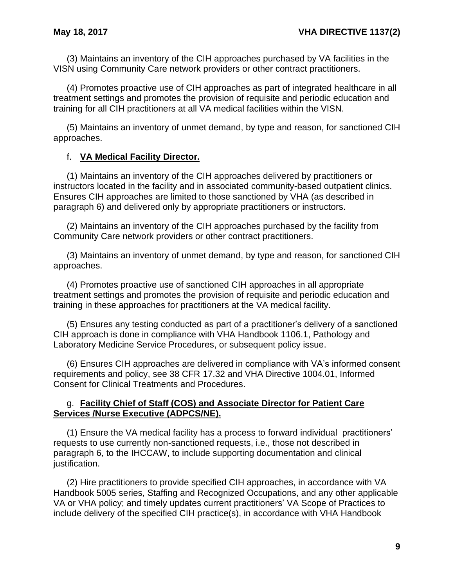(3) Maintains an inventory of the CIH approaches purchased by VA facilities in the VISN using Community Care network providers or other contract practitioners.

(4) Promotes proactive use of CIH approaches as part of integrated healthcare in all treatment settings and promotes the provision of requisite and periodic education and training for all CIH practitioners at all VA medical facilities within the VISN.

(5) Maintains an inventory of unmet demand, by type and reason, for sanctioned CIH approaches.

### f. **VA Medical Facility Director.**

(1) Maintains an inventory of the CIH approaches delivered by practitioners or instructors located in the facility and in associated community-based outpatient clinics. Ensures CIH approaches are limited to those sanctioned by VHA (as described in paragraph 6) and delivered only by appropriate practitioners or instructors.

(2) Maintains an inventory of the CIH approaches purchased by the facility from Community Care network providers or other contract practitioners.

(3) Maintains an inventory of unmet demand, by type and reason, for sanctioned CIH approaches.

(4) Promotes proactive use of sanctioned CIH approaches in all appropriate treatment settings and promotes the provision of requisite and periodic education and training in these approaches for practitioners at the VA medical facility.

(5) Ensures any testing conducted as part of a practitioner's delivery of a sanctioned CIH approach is done in compliance with VHA Handbook 1106.1, Pathology and Laboratory Medicine Service Procedures, or subsequent policy issue.

(6) Ensures CIH approaches are delivered in compliance with VA's informed consent requirements and policy, see 38 CFR 17.32 and VHA Directive 1004.01, Informed Consent for Clinical Treatments and Procedures.

#### g. **Facility Chief of Staff (COS) and Associate Director for Patient Care Services /Nurse Executive (ADPCS/NE).**

(1) Ensure the VA medical facility has a process to forward individual practitioners' requests to use currently non-sanctioned requests, i.e., those not described in paragraph 6, to the IHCCAW, to include supporting documentation and clinical justification.

(2) Hire practitioners to provide specified CIH approaches, in accordance with VA Handbook 5005 series, Staffing and Recognized Occupations, and any other applicable VA or VHA policy; and timely updates current practitioners' VA Scope of Practices to include delivery of the specified CIH practice(s), in accordance with VHA Handbook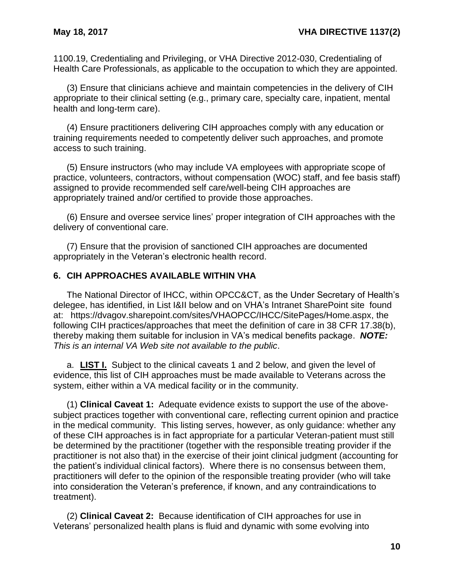1100.19, Credentialing and Privileging, or VHA Directive 2012-030, Credentialing of Health Care Professionals, as applicable to the occupation to which they are appointed.

(3) Ensure that clinicians achieve and maintain competencies in the delivery of CIH appropriate to their clinical setting (e.g., primary care, specialty care, inpatient, mental health and long-term care).

(4) Ensure practitioners delivering CIH approaches comply with any education or training requirements needed to competently deliver such approaches, and promote access to such training.

(5) Ensure instructors (who may include VA employees with appropriate scope of practice, volunteers, contractors, without compensation (WOC) staff, and fee basis staff) assigned to provide recommended self care/well-being CIH approaches are appropriately trained and/or certified to provide those approaches.

(6) Ensure and oversee service lines' proper integration of CIH approaches with the delivery of conventional care.

(7) Ensure that the provision of sanctioned CIH approaches are documented appropriately in the Veteran's electronic health record.

#### <span id="page-11-0"></span>**6. CIH APPROACHES AVAILABLE WITHIN VHA**

The National Director of IHCC, within OPCC&CT, as the Under Secretary of Health's delegee, has identified, in List I&II below and on VHA's Intranet SharePoint site found at: https://dvagov.sharepoint.com/sites/VHAOPCC/IHCC/SitePages/Home.aspx, the following CIH practices/approaches that meet the definition of care in 38 CFR 17.38(b), thereby making them suitable for inclusion in VA's medical benefits package. *NOTE: This is an internal VA Web site not available to the public*.

a. **LIST I.** Subject to the clinical caveats 1 and 2 below, and given the level of evidence, this list of CIH approaches must be made available to Veterans across the system, either within a VA medical facility or in the community.

(1) **Clinical Caveat 1:** Adequate evidence exists to support the use of the abovesubject practices together with conventional care, reflecting current opinion and practice in the medical community. This listing serves, however, as only guidance: whether any of these CIH approaches is in fact appropriate for a particular Veteran-patient must still be determined by the practitioner (together with the responsible treating provider if the practitioner is not also that) in the exercise of their joint clinical judgment (accounting for the patient's individual clinical factors). Where there is no consensus between them, practitioners will defer to the opinion of the responsible treating provider (who will take into consideration the Veteran's preference, if known, and any contraindications to treatment).

(2) **Clinical Caveat 2:** Because identification of CIH approaches for use in Veterans' personalized health plans is fluid and dynamic with some evolving into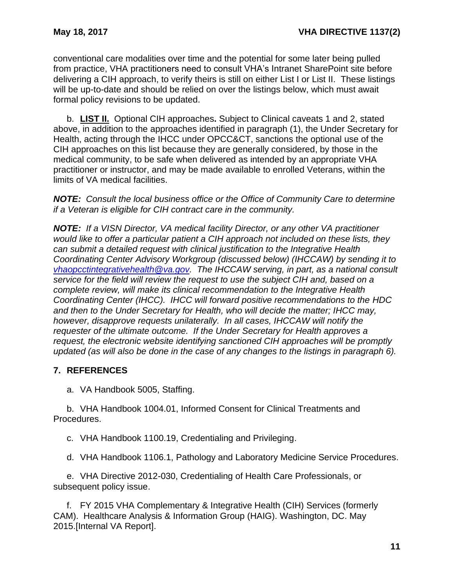conventional care modalities over time and the potential for some later being pulled from practice, VHA practitioners need to consult VHA's Intranet SharePoint site before delivering a CIH approach, to verify theirs is still on either List I or List II. These listings will be up-to-date and should be relied on over the listings below, which must await formal policy revisions to be updated.

b. **LIST II.** Optional CIH approaches**.** Subject to Clinical caveats 1 and 2, stated above, in addition to the approaches identified in paragraph (1), the Under Secretary for Health, acting through the IHCC under OPCC&CT, sanctions the optional use of the CIH approaches on this list because they are generally considered, by those in the medical community, to be safe when delivered as intended by an appropriate VHA practitioner or instructor, and may be made available to enrolled Veterans, within the limits of VA medical facilities.

*NOTE: Consult the local business office or the Office of Community Care to determine if a Veteran is eligible for CIH contract care in the community.*

*NOTE: If a VISN Director, VA medical facility Director, or any other VA practitioner would like to offer a particular patient a CIH approach not included on these lists, they can submit a detailed request with clinical justification to the Integrative Health Coordinating Center Advisory Workgroup (discussed below) (IHCCAW) by sending it to [vhaopcctintegrativehealth@va.gov.](mailto:vhaopcctintegrativehealth@va.gov) The IHCCAW serving, in part, as a national consult service for the field will review the request to use the subject CIH and, based on a complete review, will make its clinical recommendation to the Integrative Health Coordinating Center (IHCC). IHCC will forward positive recommendations to the HDC and then to the Under Secretary for Health, who will decide the matter; IHCC may, however, disapprove requests unilaterally. In all cases, IHCCAW will notify the requester of the ultimate outcome. If the Under Secretary for Health approves a request, the electronic website identifying sanctioned CIH approaches will be promptly updated (as will also be done in the case of any changes to the listings in paragraph 6).*

# <span id="page-12-0"></span>**7. REFERENCES**

a. VA Handbook 5005, Staffing.

b. VHA Handbook 1004.01, Informed Consent for Clinical Treatments and Procedures.

c. VHA Handbook 1100.19, Credentialing and Privileging.

d. VHA Handbook 1106.1, Pathology and Laboratory Medicine Service Procedures.

e. VHA Directive 2012-030, Credentialing of Health Care Professionals, or subsequent policy issue.

f. FY 2015 VHA Complementary & Integrative Health (CIH) Services (formerly CAM). Healthcare Analysis & Information Group (HAIG). Washington, DC. May 2015.[Internal VA Report].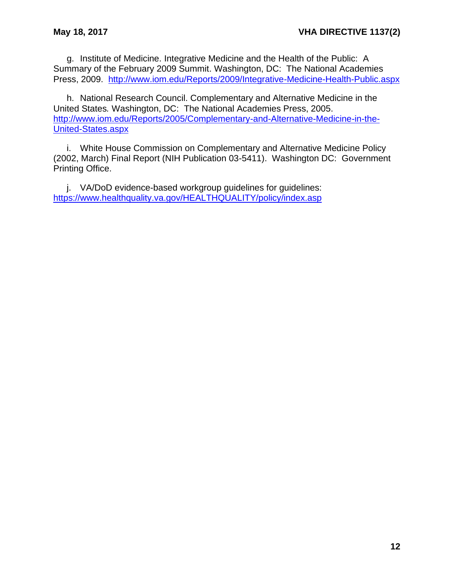g. Institute of Medicine. Integrative Medicine and the Health of the Public: A Summary of the February 2009 Summit. Washington, DC: The National Academies Press, 2009. <http://www.iom.edu/Reports/2009/Integrative-Medicine-Health-Public.aspx>

h. National Research Council. Complementary and Alternative Medicine in the United States*.* Washington, DC: The National Academies Press, 2005. [http://www.iom.edu/Reports/2005/Complementary-and-Alternative-Medicine-in-the-](http://www.iom.edu/Reports/2005/Complementary-and-Alternative-Medicine-in-the-United-States.aspx)[United-States.aspx](http://www.iom.edu/Reports/2005/Complementary-and-Alternative-Medicine-in-the-United-States.aspx)

i. White House Commission on Complementary and Alternative Medicine Policy (2002, March) Final Report (NIH Publication 03-5411). Washington DC: Government Printing Office.

j. VA/DoD evidence-based workgroup guidelines for guidelines: <https://www.healthquality.va.gov/HEALTHQUALITY/policy/index.asp>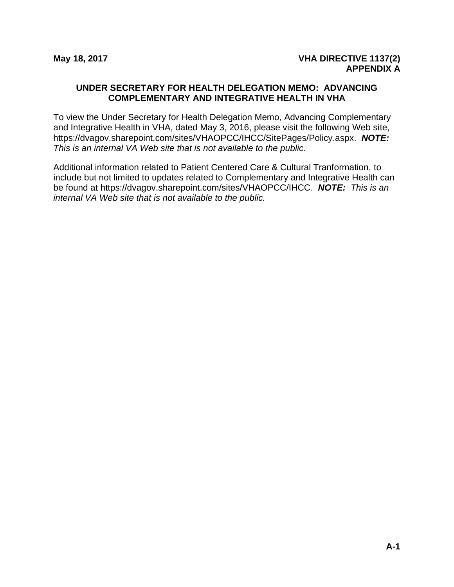#### <span id="page-14-1"></span><span id="page-14-0"></span>**UNDER SECRETARY FOR HEALTH DELEGATION MEMO: ADVANCING COMPLEMENTARY AND INTEGRATIVE HEALTH IN VHA**

To view the Under Secretary for Health Delegation Memo, Advancing Complementary and Integrative Health in VHA, dated May 3, 2016, please visit the following Web site, https://dvagov.sharepoint.com/sites/VHAOPCC/IHCC/SitePages/Policy.aspx. *NOTE: This is an internal VA Web site that is not available to the public.*

Additional information related to Patient Centered Care & Cultural Tranformation, to include but not limited to updates related to Complementary and Integrative Health can be found at https://dvagov.sharepoint.com/sites/VHAOPCC/IHCC. *NOTE: This is an internal VA Web site that is not available to the public.*